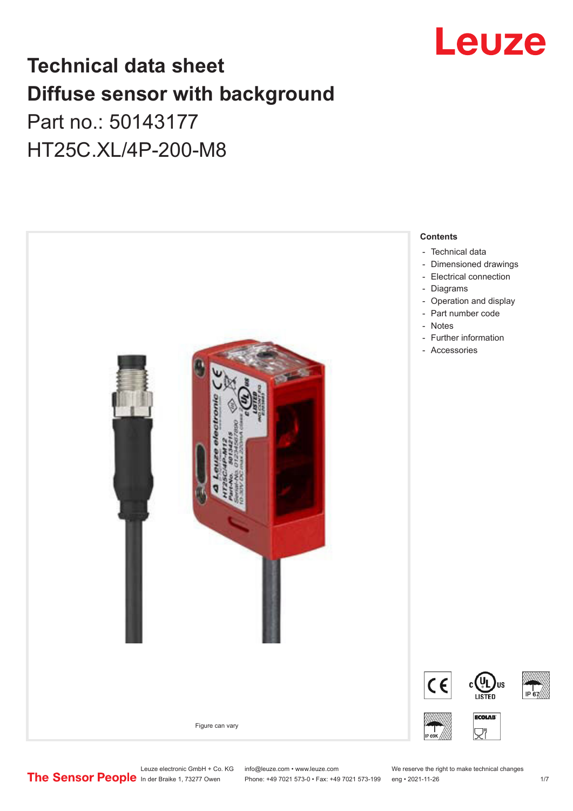

## **Technical data sheet Diffuse sensor with background**

## Part no.: 50143177 HT25C.XL/4P-200-M8



Leuze electronic GmbH + Co. KG info@leuze.com • www.leuze.com We reserve the right to make technical changes<br>
The Sensor People in der Braike 1, 73277 Owen Phone: +49 7021 573-0 • Fax: +49 7021 573-199 eng • 2021-11-26

Phone: +49 7021 573-0 • Fax: +49 7021 573-199 eng • 2021-11-26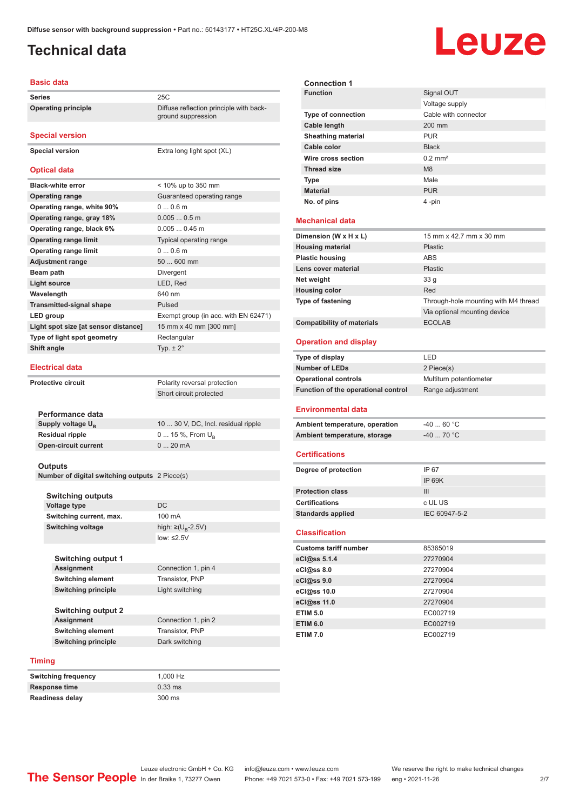ground suppression

#### <span id="page-1-0"></span>**Technical data**

# Leuze

#### **Basic data**

**Series** 25C **Operating principle** Diffuse reflection principle with back-

**Special version**

**Special version** Extra long light spot (XL)

#### **Optical data**

| <b>Black-white error</b>             | < 10% up to 350 mm                   |
|--------------------------------------|--------------------------------------|
| <b>Operating range</b>               | Guaranteed operating range           |
| Operating range, white 90%           | $00.6$ m                             |
| Operating range, gray 18%            | $0.0050.5$ m                         |
| Operating range, black 6%            | $0.0050.45$ m                        |
| <b>Operating range limit</b>         | Typical operating range              |
| <b>Operating range limit</b>         | $00.6$ m                             |
| <b>Adjustment range</b>              | 50  600 mm                           |
| Beam path                            | Divergent                            |
| <b>Light source</b>                  | LED, Red                             |
| Wavelength                           | 640 nm                               |
| <b>Transmitted-signal shape</b>      | Pulsed                               |
| LED group                            | Exempt group (in acc. with EN 62471) |
| Light spot size [at sensor distance] | 15 mm x 40 mm [300 mm]               |
| Type of light spot geometry          | Rectangular                          |
| Shift angle                          | Typ. $\pm 2^{\circ}$                 |
|                                      |                                      |

#### **Electrical data**

|                               | Short circuit protected             |
|-------------------------------|-------------------------------------|
|                               |                                     |
| Performance data              |                                     |
| Supply voltage U <sub>n</sub> | 10  30 V, DC, Incl. residual ripple |
| Residual ripple               | 0  15 %, From $U_{\rm B}$           |
| Open-circuit current          | $020$ mA                            |
|                               |                                     |

**Protective circuit** Polarity reversal protection

#### **Outputs**

**Number of digital switching outputs** 2 Piece(s)

| <b>Switching outputs</b>   |                                    |  |
|----------------------------|------------------------------------|--|
| <b>Voltage type</b>        | DC.                                |  |
| Switching current, max.    | 100 mA                             |  |
| <b>Switching voltage</b>   | high: $\geq (U_{\text{B}} - 2.5V)$ |  |
|                            | $low: \leq 2.5V$                   |  |
|                            |                                    |  |
| <b>Switching output 1</b>  |                                    |  |
| <b>Assignment</b>          | Connection 1, pin 4                |  |
| <b>Switching element</b>   | Transistor, PNP                    |  |
| <b>Switching principle</b> | Light switching                    |  |
|                            |                                    |  |
| <b>Switching output 2</b>  |                                    |  |
|                            |                                    |  |

#### **Assignment** Connection 1, pin 2<br> **Switching element** Transistor, PNP **Switching element Switching principle** Dark switching

**Timing**

| Switching frequency |  |
|---------------------|--|
| Response time       |  |
| Readiness delay     |  |

**Switching frequency** 1,000 Hz **Response time** 0.33 ms **Readiness delay** 300 ms

| <b>Connection 1</b>               |                                     |                                      |
|-----------------------------------|-------------------------------------|--------------------------------------|
| <b>Function</b>                   |                                     | Signal OUT                           |
|                                   |                                     | Voltage supply                       |
| <b>Type of connection</b>         |                                     | Cable with connector                 |
| Cable length                      |                                     | 200 mm                               |
| <b>Sheathing material</b>         |                                     | PUR                                  |
| Cable color                       |                                     | <b>Black</b>                         |
| Wire cross section                |                                     | $0.2$ mm <sup>2</sup>                |
| <b>Thread size</b>                |                                     | M <sub>8</sub>                       |
| <b>Type</b>                       |                                     | Male                                 |
| <b>Material</b>                   |                                     | <b>PUR</b>                           |
| No. of pins                       |                                     | 4 -pin                               |
|                                   |                                     |                                      |
| <b>Mechanical data</b>            |                                     |                                      |
| Dimension (W x H x L)             |                                     | 15 mm x 42.7 mm x 30 mm              |
| <b>Housing material</b>           |                                     | <b>Plastic</b>                       |
| <b>Plastic housing</b>            |                                     | <b>ABS</b>                           |
| Lens cover material               |                                     | <b>Plastic</b>                       |
| Net weight                        |                                     | 33 <sub>g</sub>                      |
| <b>Housing color</b>              |                                     | Red                                  |
| Type of fastening                 |                                     | Through-hole mounting with M4 thread |
|                                   |                                     | Via optional mounting device         |
| <b>Compatibility of materials</b> |                                     | <b>ECOLAB</b>                        |
|                                   |                                     |                                      |
| <b>Operation and display</b>      |                                     |                                      |
| Type of display                   |                                     | LED                                  |
| <b>Number of LEDs</b>             |                                     | 2 Piece(s)                           |
| <b>Operational controls</b>       |                                     | Multiturn potentiometer              |
|                                   | Function of the operational control | Range adjustment                     |
| Environmental data                |                                     |                                      |
|                                   |                                     |                                      |
| Ambient temperature, operation    |                                     | $-40$ 60 °C                          |
| Ambient temperature, storage      |                                     | $-40$ 70 °C                          |
|                                   |                                     |                                      |
| Certifications                    |                                     |                                      |
|                                   |                                     |                                      |
| Degree of protection              |                                     | IP 67                                |
|                                   |                                     | <b>IP 69K</b>                        |
| <b>Protection class</b>           |                                     | Ш                                    |
| <b>Certifications</b>             |                                     | c UL US                              |
| <b>Standards applied</b>          |                                     | IEC 60947-5-2                        |
|                                   |                                     |                                      |
| <b>Classification</b>             |                                     |                                      |
| <b>Customs tariff number</b>      |                                     | 85365019                             |
| eCl@ss 5.1.4                      |                                     | 27270904                             |
| eCl@ss 8.0                        |                                     | 27270904                             |
| eCl@ss 9.0                        |                                     | 27270904                             |
| eCl@ss 10.0                       |                                     | 27270904                             |
| eCl@ss 11.0                       |                                     | 27270904                             |
| <b>ETIM 5.0</b>                   |                                     | EC002719                             |
| <b>ETIM 6.0</b>                   |                                     | EC002719                             |
| <b>ETIM 7.0</b>                   |                                     | EC002719                             |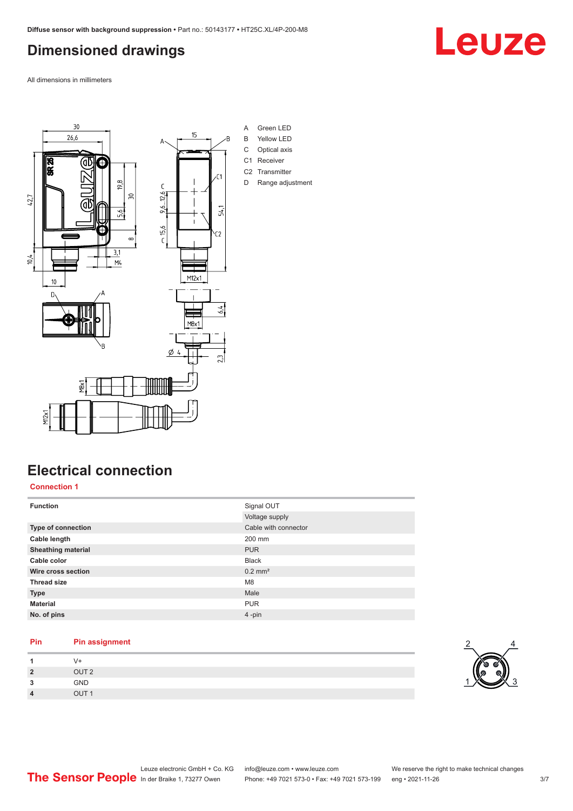#### <span id="page-2-0"></span>**Dimensioned drawings**

All dimensions in millimeters



### **Electrical connection**

**Connection 1**

| <b>Function</b>           | Signal OUT            |
|---------------------------|-----------------------|
|                           | Voltage supply        |
| <b>Type of connection</b> | Cable with connector  |
| Cable length              | 200 mm                |
| <b>Sheathing material</b> | <b>PUR</b>            |
| Cable color               | <b>Black</b>          |
| Wire cross section        | $0.2$ mm <sup>2</sup> |
| <b>Thread size</b>        | M <sub>8</sub>        |
| <b>Type</b>               | Male                  |
| <b>Material</b>           | <b>PUR</b>            |
| No. of pins               | 4-pin                 |

#### **Pin Pin assignment**

|        | V+               |  |  |
|--------|------------------|--|--|
| 2      | OUT <sub>2</sub> |  |  |
| ,<br>v | GND              |  |  |
| л      | OUT <sub>1</sub> |  |  |



## Leuze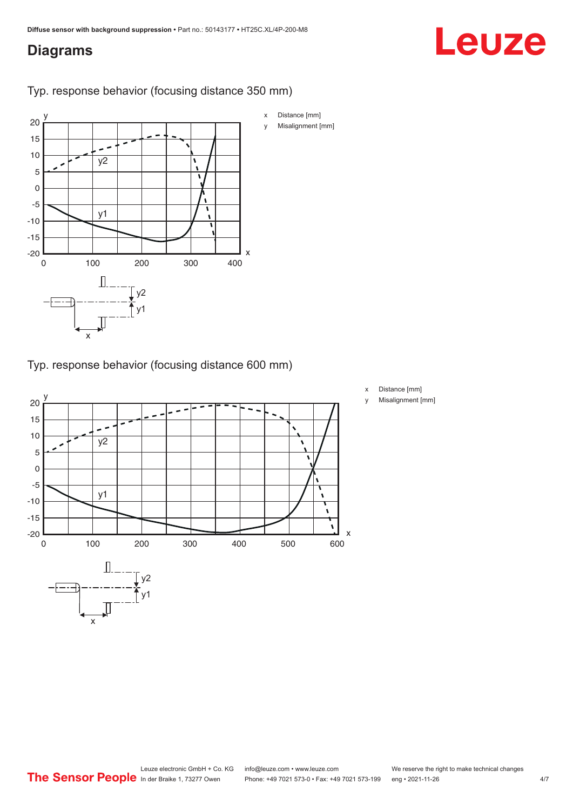#### <span id="page-3-0"></span>**Diagrams**

# Leuze



Typ. response behavior (focusing distance 350 mm)

Typ. response behavior (focusing distance 600 mm)



- x Distance [mm]
- y Misalignment [mm]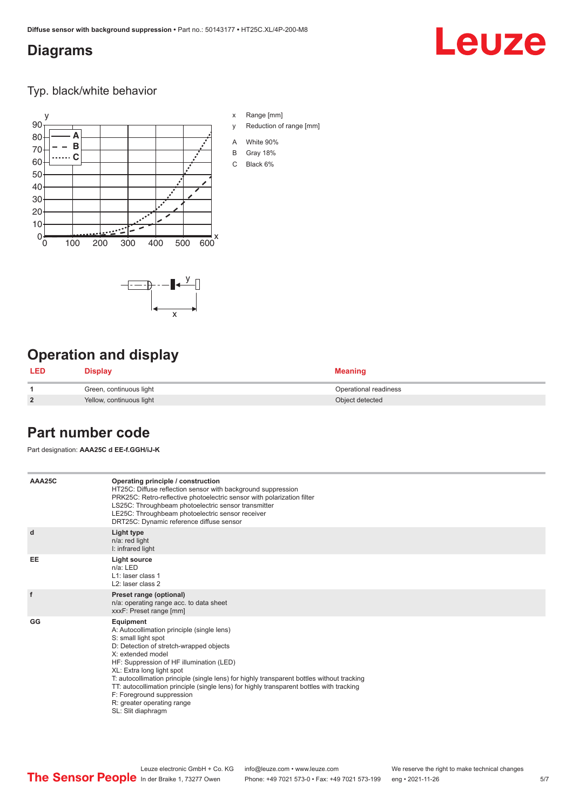x

 $-\overline{...}$   $-\overline{...}$   $-\overline{...}$ 

#### <span id="page-4-0"></span>**Diagrams**

## **Leuze**

Typ. black/white behavior



x Range [mm]

- y Reduction of range [mm]
- A White 90%
- B Gray 18%
- C Black 6%

### **Operation and display**

| <b>LED</b>     | Display                  | <b>Meaning</b>        |
|----------------|--------------------------|-----------------------|
|                | Green, continuous light  | Operational readiness |
| $\overline{2}$ | Yellow, continuous light | Object detected       |

#### **Part number code**

Part designation: **AAA25C d EE-f.GGH/iJ-K**

| AAA25C | Operating principle / construction<br>HT25C: Diffuse reflection sensor with background suppression<br>PRK25C: Retro-reflective photoelectric sensor with polarization filter<br>LS25C: Throughbeam photoelectric sensor transmitter<br>LE25C: Throughbeam photoelectric sensor receiver<br>DRT25C: Dynamic reference diffuse sensor                                                                                                                                                                |
|--------|----------------------------------------------------------------------------------------------------------------------------------------------------------------------------------------------------------------------------------------------------------------------------------------------------------------------------------------------------------------------------------------------------------------------------------------------------------------------------------------------------|
| d      | Light type<br>n/a: red light<br>I: infrared light                                                                                                                                                                                                                                                                                                                                                                                                                                                  |
| EE     | Light source<br>$n/a$ : LED<br>L1: laser class 1<br>L <sub>2</sub> : laser class 2                                                                                                                                                                                                                                                                                                                                                                                                                 |
| f      | Preset range (optional)<br>n/a: operating range acc. to data sheet<br>xxxF: Preset range [mm]                                                                                                                                                                                                                                                                                                                                                                                                      |
| GG     | Equipment<br>A: Autocollimation principle (single lens)<br>S: small light spot<br>D: Detection of stretch-wrapped objects<br>X: extended model<br>HF: Suppression of HF illumination (LED)<br>XL: Extra long light spot<br>T: autocollimation principle (single lens) for highly transparent bottles without tracking<br>TT: autocollimation principle (single lens) for highly transparent bottles with tracking<br>F: Foreground suppression<br>R: greater operating range<br>SL: Slit diaphragm |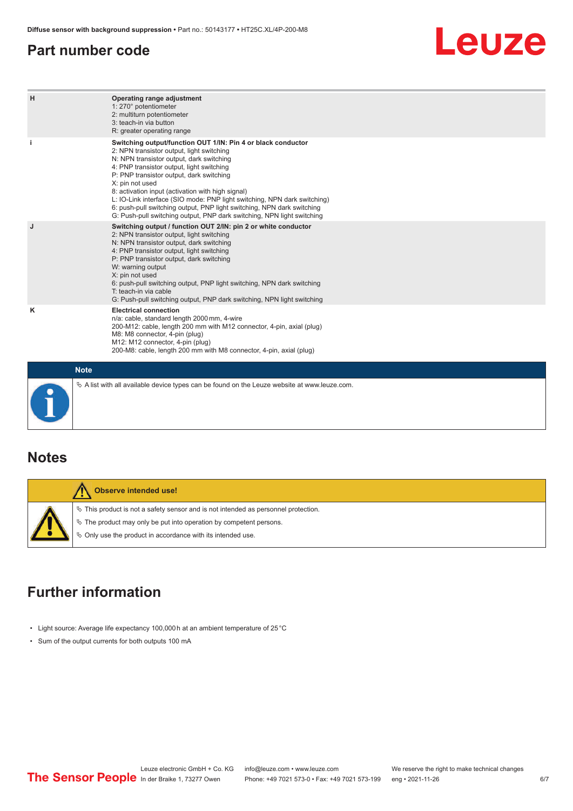#### <span id="page-5-0"></span>**Part number code**

## Leuze

| H           | Operating range adjustment<br>1: 270° potentiometer<br>2: multiturn potentiometer<br>3: teach-in via button<br>R: greater operating range                                                                                                                                                                                                                                                                                                                                                                                                              |
|-------------|--------------------------------------------------------------------------------------------------------------------------------------------------------------------------------------------------------------------------------------------------------------------------------------------------------------------------------------------------------------------------------------------------------------------------------------------------------------------------------------------------------------------------------------------------------|
| Π           | Switching output/function OUT 1/IN: Pin 4 or black conductor<br>2: NPN transistor output, light switching<br>N: NPN transistor output, dark switching<br>4: PNP transistor output, light switching<br>P: PNP transistor output, dark switching<br>X: pin not used<br>8: activation input (activation with high signal)<br>L: IO-Link interface (SIO mode: PNP light switching, NPN dark switching)<br>6: push-pull switching output, PNP light switching, NPN dark switching<br>G: Push-pull switching output, PNP dark switching, NPN light switching |
| J           | Switching output / function OUT 2/IN: pin 2 or white conductor<br>2: NPN transistor output, light switching<br>N: NPN transistor output, dark switching<br>4: PNP transistor output, light switching<br>P: PNP transistor output, dark switching<br>W: warning output<br>X: pin not used<br>6: push-pull switching output, PNP light switching, NPN dark switching<br>T: teach-in via cable<br>G: Push-pull switching output, PNP dark switching, NPN light switching                                                                                  |
| κ           | <b>Electrical connection</b><br>n/a: cable, standard length 2000 mm, 4-wire<br>200-M12: cable, length 200 mm with M12 connector, 4-pin, axial (plug)<br>M8: M8 connector, 4-pin (plug)<br>M12: M12 connector, 4-pin (plug)<br>200-M8: cable, length 200 mm with M8 connector, 4-pin, axial (plug)                                                                                                                                                                                                                                                      |
| <b>Note</b> |                                                                                                                                                                                                                                                                                                                                                                                                                                                                                                                                                        |

## **Notes**

| <b>Observe intended use!</b>                                                                                                                                                                                                  |
|-------------------------------------------------------------------------------------------------------------------------------------------------------------------------------------------------------------------------------|
| $\%$ This product is not a safety sensor and is not intended as personnel protection.<br>$\&$ The product may only be put into operation by competent persons.<br>♦ Only use the product in accordance with its intended use. |

 $\%$  A list with all available device types can be found on the Leuze website at www.leuze.com.

### **Further information**

- Light source: Average life expectancy 100,000 h at an ambient temperature of 25 °C
- Sum of the output currents for both outputs 100 mA